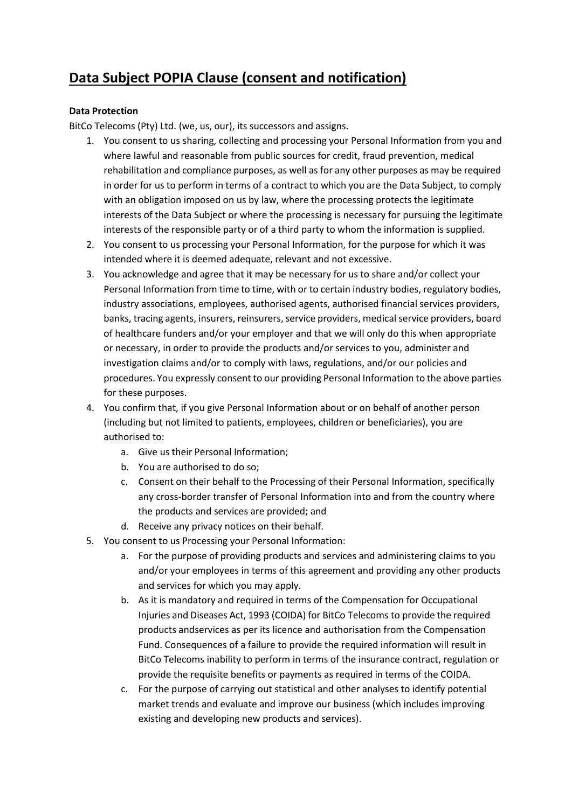# **Data Subject POPIA Clause (consent and notification)**

## **Data Protection**

BitCo Telecoms (Pty) Ltd. (we, us, our), its successors and assigns.

- 1. You consent to us sharing, collecting and processing your Personal Information from you and where lawful and reasonable from public sources for credit, fraud prevention, medical rehabilitation and compliance purposes, as well as for any other purposes as may be required in order for us to perform in terms of a contract to which you are the Data Subject, to comply with an obligation imposed on us by law, where the processing protects the legitimate interests of the Data Subject or where the processing is necessary for pursuing the legitimate interests of the responsible party or of a third party to whom the information is supplied.
- 2. You consent to us processing your Personal Information, for the purpose for which it was intended where it is deemed adequate, relevant and not excessive.
- 3. You acknowledge and agree that it may be necessary for us to share and/or collect your Personal Information from time to time, with or to certain industry bodies, regulatory bodies, industry associations, employees, authorised agents, authorised financial services providers, banks, tracing agents, insurers, reinsurers, service providers, medical service providers, board of healthcare funders and/or your employer and that we will only do this when appropriate or necessary, in order to provide the products and/or services to you, administer and investigation claims and/or to comply with laws, regulations, and/or our policies and procedures. You expressly consent to our providing Personal Information to the above parties for these purposes.
- 4. You confirm that, if you give Personal Information about or on behalf of another person (including but not limited to patients, employees, children or beneficiaries), you are authorised to:
	- a. Give us their Personal Information;
	- b. You are authorised to do so;
	- c. Consent on their behalf to the Processing of their Personal Information, specifically any cross-border transfer of Personal Information into and from the country where the products and services are provided; and
	- d. Receive any privacy notices on their behalf.
- 5. You consent to us Processing your Personal Information:
	- a. For the purpose of providing products and services and administering claims to you and/or your employees in terms of this agreement and providing any other products and services for which you may apply.
	- b. As it is mandatory and required in terms of the Compensation for Occupational Injuries and Diseases Act, 1993 (COIDA) for BitCo Telecoms to provide the required products andservices as per its licence and authorisation from the Compensation Fund. Consequences of a failure to provide the required information will result in BitCo Telecoms inability to perform in terms of the insurance contract, regulation or provide the requisite benefits or payments as required in terms of the COIDA.
	- c. For the purpose of carrying out statistical and other analyses to identify potential market trends and evaluate and improve our business (which includes improving existing and developing new products and services).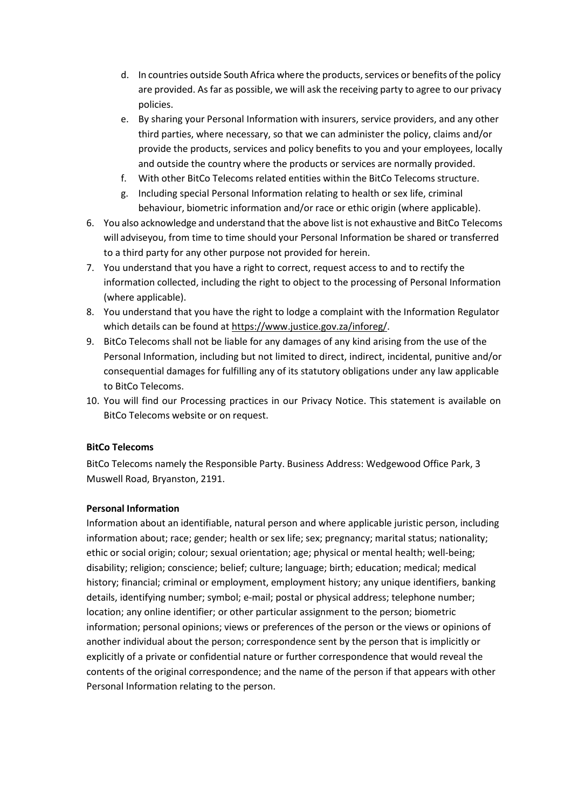- d. In countries outside South Africa where the products, services or benefits of the policy are provided. As far as possible, we will ask the receiving party to agree to our privacy policies.
- e. By sharing your Personal Information with insurers, service providers, and any other third parties, where necessary, so that we can administer the policy, claims and/or provide the products, services and policy benefits to you and your employees, locally and outside the country where the products or services are normally provided.
- f. With other BitCo Telecoms related entities within the BitCo Telecoms structure.
- g. Including special Personal Information relating to health or sex life, criminal behaviour, biometric information and/or race or ethic origin (where applicable).
- 6. You also acknowledge and understand that the above list is not exhaustive and BitCo Telecoms will adviseyou, from time to time should your Personal Information be shared or transferred to a third party for any other purpose not provided for herein.
- 7. You understand that you have a right to correct, request access to and to rectify the information collected, including the right to object to the processing of Personal Information (where applicable).
- 8. You understand that you have the right to lodge a complaint with the Information Regulator which details can be found at [https://www.justice.gov.za/inforeg/.](https://www.justice.gov.za/inforeg/)
- 9. BitCo Telecoms shall not be liable for any damages of any kind arising from the use of the Personal Information, including but not limited to direct, indirect, incidental, punitive and/or consequential damages for fulfilling any of its statutory obligations under any law applicable to BitCo Telecoms.
- 10. You will find our Processing practices in our Privacy Notice. This statement is available on BitCo Telecoms website or on request.

### **BitCo Telecoms**

BitCo Telecoms namely the Responsible Party. Business Address: Wedgewood Office Park, 3 Muswell Road, Bryanston, 2191.

### **Personal Information**

Information about an identifiable, natural person and where applicable juristic person, including information about; race; gender; health or sex life; sex; pregnancy; marital status; nationality; ethic or social origin; colour; sexual orientation; age; physical or mental health; well-being; disability; religion; conscience; belief; culture; language; birth; education; medical; medical history; financial; criminal or employment, employment history; any unique identifiers, banking details, identifying number; symbol; e-mail; postal or physical address; telephone number; location; any online identifier; or other particular assignment to the person; biometric information; personal opinions; views or preferences of the person or the views or opinions of another individual about the person; correspondence sent by the person that is implicitly or explicitly of a private or confidential nature or further correspondence that would reveal the contents of the original correspondence; and the name of the person if that appears with other Personal Information relating to the person.